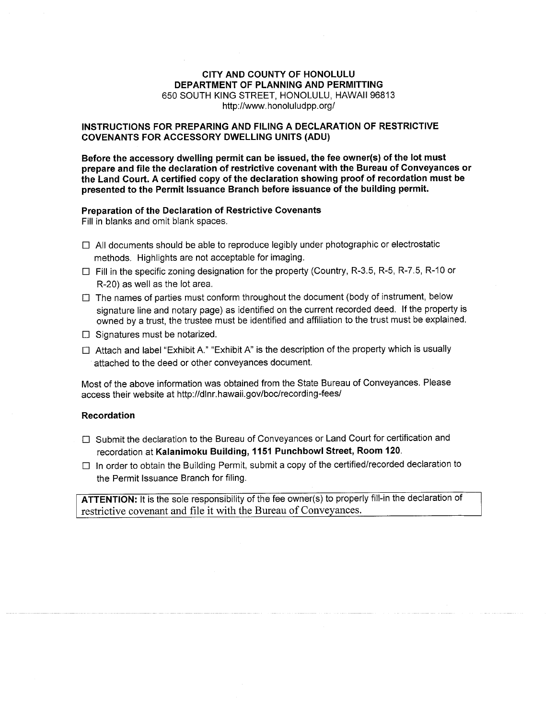### **CITY AND COUNTY OF HONOLULU** DEPARTMENT OF PLANNING AND PERMITTING 650 SOUTH KING STREET, HONOLULU, HAWAII 96813 http://www.honoluludpp.org/

### INSTRUCTIONS FOR PREPARING AND FILING A DECLARATION OF RESTRICTIVE **COVENANTS FOR ACCESSORY DWELLING UNITS (ADU)**

Before the accessory dwelling permit can be issued, the fee owner(s) of the lot must prepare and file the declaration of restrictive covenant with the Bureau of Conveyances or the Land Court. A certified copy of the declaration showing proof of recordation must be presented to the Permit Issuance Branch before issuance of the building permit.

## Preparation of the Declaration of Restrictive Covenants

Fill in blanks and omit blank spaces.

- $\Box$  All documents should be able to reproduce legibly under photographic or electrostatic methods. Highlights are not acceptable for imaging.
- $\Box$  Fill in the specific zoning designation for the property (Country, R-3.5, R-5, R-7.5, R-10 or R-20) as well as the lot area.
- $\Box$  The names of parties must conform throughout the document (body of instrument, below signature line and notary page) as identified on the current recorded deed. If the property is owned by a trust, the trustee must be identified and affiliation to the trust must be explained.
- $\Box$  Signatures must be notarized.
- □ Attach and label "Exhibit A." "Exhibit A" is the description of the property which is usually attached to the deed or other conveyances document.

Most of the above information was obtained from the State Bureau of Conveyances. Please access their website at http://dlnr.hawaii.gov/boc/recording-fees/

#### **Recordation**

- □ Submit the declaration to the Bureau of Conveyances or Land Court for certification and recordation at Kalanimoku Building, 1151 Punchbowl Street, Room 120.
- $\Box$  In order to obtain the Building Permit, submit a copy of the certified/recorded declaration to the Permit Issuance Branch for filing.

ATTENTION: It is the sole responsibility of the fee owner(s) to properly fill-in the declaration of restrictive covenant and file it with the Bureau of Conveyances.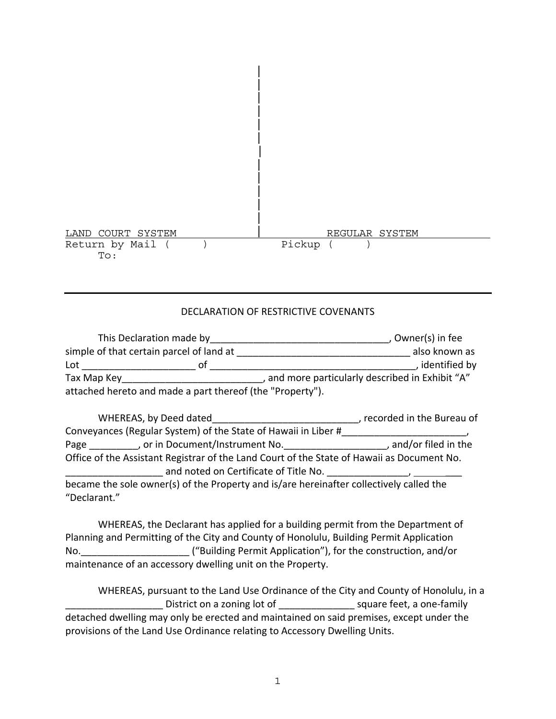

# DECLARATION OF RESTRICTIVE COVENANTS

|                                                           | This Declaration made by | . Owner(s) in fee                              |                 |  |  |
|-----------------------------------------------------------|--------------------------|------------------------------------------------|-----------------|--|--|
| simple of that certain parcel of land at                  |                          |                                                | also known as   |  |  |
| Lot                                                       | ΩŤ                       |                                                | , identified by |  |  |
| Tax Map Key                                               |                          | and more particularly described in Exhibit "A" |                 |  |  |
| attached hereto and made a part thereof (the "Property"). |                          |                                                |                 |  |  |

|              | WHEREAS, by Deed dated                                                                                                              | , recorded in the Bureau of |
|--------------|-------------------------------------------------------------------------------------------------------------------------------------|-----------------------------|
|              | Conveyances (Regular System) of the State of Hawaii in Liber #                                                                      |                             |
| Page         | , or in Document/Instrument No.                                                                                                     | , and/or filed in the       |
|              | Office of the Assistant Registrar of the Land Court of the State of Hawaii as Document No.<br>and noted on Certificate of Title No. |                             |
| "Declarant." | became the sole owner(s) of the Property and is/are hereinafter collectively called the                                             |                             |

WHEREAS, the Declarant has applied for a building permit from the Department of Planning and Permitting of the City and County of Honolulu, Building Permit Application No.  $($ "Building Permit Application"), for the construction, and/or maintenance of an accessory dwelling unit on the Property.

WHEREAS, pursuant to the Land Use Ordinance of the City and County of Honolulu, in a District on a zoning lot of discussion of the square feet, a one-family detached dwelling may only be erected and maintained on said premises, except under the provisions of the Land Use Ordinance relating to Accessory Dwelling Units.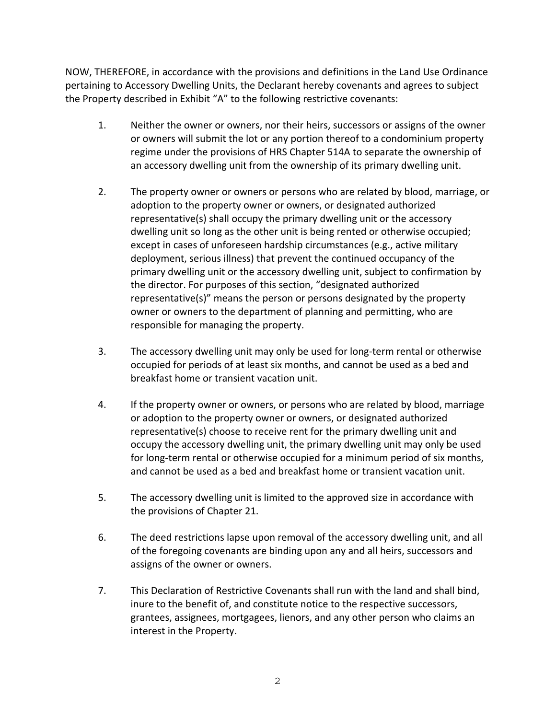NOW, THEREFORE, in accordance with the provisions and definitions in the Land Use Ordinance pertaining to Accessory Dwelling Units, the Declarant hereby covenants and agrees to subject the Property described in Exhibit "A" to the following restrictive covenants:

- 1. Neither the owner or owners, nor their heirs, successors or assigns of the owner or owners will submit the lot or any portion thereof to a condominium property regime under the provisions of HRS Chapter 514A to separate the ownership of an accessory dwelling unit from the ownership of its primary dwelling unit.
- 2. The property owner or owners or persons who are related by blood, marriage, or adoption to the property owner or owners, or designated authorized representative(s) shall occupy the primary dwelling unit or the accessory dwelling unit so long as the other unit is being rented or otherwise occupied; except in cases of unforeseen hardship circumstances (e.g., active military deployment, serious illness) that prevent the continued occupancy of the primary dwelling unit or the accessory dwelling unit, subject to confirmation by the director. For purposes of this section, "designated authorized representative(s)" means the person or persons designated by the property owner or owners to the department of planning and permitting, who are responsible for managing the property.
- 3. The accessory dwelling unit may only be used for long‐term rental or otherwise occupied for periods of at least six months, and cannot be used as a bed and breakfast home or transient vacation unit.
- 4. If the property owner or owners, or persons who are related by blood, marriage or adoption to the property owner or owners, or designated authorized representative(s) choose to receive rent for the primary dwelling unit and occupy the accessory dwelling unit, the primary dwelling unit may only be used for long-term rental or otherwise occupied for a minimum period of six months, and cannot be used as a bed and breakfast home or transient vacation unit.
- 5. The accessory dwelling unit is limited to the approved size in accordance with the provisions of Chapter 21.
- 6. The deed restrictions lapse upon removal of the accessory dwelling unit, and all of the foregoing covenants are binding upon any and all heirs, successors and assigns of the owner or owners.
- 7. This Declaration of Restrictive Covenants shall run with the land and shall bind, inure to the benefit of, and constitute notice to the respective successors, grantees, assignees, mortgagees, lienors, and any other person who claims an interest in the Property.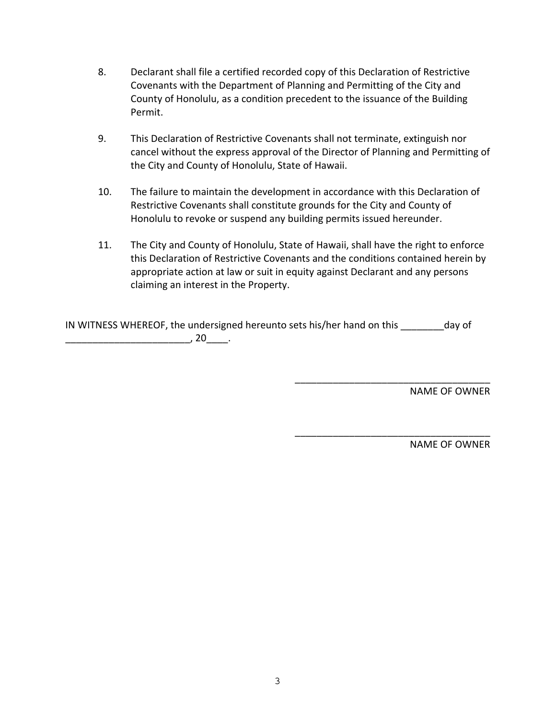- 8. Declarant shall file a certified recorded copy of this Declaration of Restrictive Covenants with the Department of Planning and Permitting of the City and County of Honolulu, as a condition precedent to the issuance of the Building Permit.
- 9. This Declaration of Restrictive Covenants shall not terminate, extinguish nor cancel without the express approval of the Director of Planning and Permitting of the City and County of Honolulu, State of Hawaii.
- 10. The failure to maintain the development in accordance with this Declaration of Restrictive Covenants shall constitute grounds for the City and County of Honolulu to revoke or suspend any building permits issued hereunder.
- 11. The City and County of Honolulu, State of Hawaii, shall have the right to enforce this Declaration of Restrictive Covenants and the conditions contained herein by appropriate action at law or suit in equity against Declarant and any persons claiming an interest in the Property.

 $\overline{\phantom{a}}$  , which is a set of the set of the set of the set of the set of the set of the set of the set of the set of the set of the set of the set of the set of the set of the set of the set of the set of the set of th

 $\overbrace{\phantom{xxxxx}}$ 

| IN WITNESS WHEREOF, the undersigned hereunto sets his/her hand on this | day of |
|------------------------------------------------------------------------|--------|
|                                                                        |        |

NAME OF OWNER

NAME OF OWNER